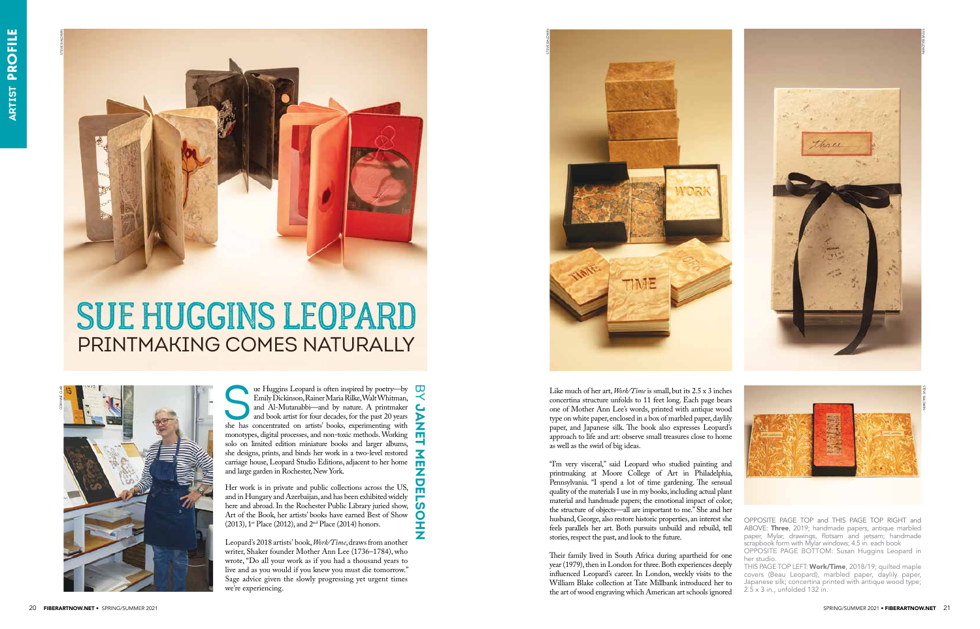OPPOSITE PAGE TOP and THIS PAGE TOP RIGHT and ABOVE: Three, 2019; handmade papers, antique marbled paper, Mylar, drawings, flotsam and jetsam; handmade scrapbook form with Mylar windows; 4.5 in. each book











The Huggins Leopard is often inspired by poetry—by<br>Emily Dickinson, Rainer Maria Rilke, Walt Whitman,<br>and Al-Mutanabbi—and by nature. A printmaker<br>and book artist for four decades, for the past 20 years<br>she has concentrate Emily Dickinson, Rainer Maria Rilke, Walt Whitman, and Al-Mutanabbi—and by nature. A printmaker and book artist for four decades, for the past 20 years she has concentrated on artists' books, experimenting with monotypes, digital processes, and non-toxic methods. Working solo on limited edition miniature books and larger albums, she designs, prints, and binds her work in a two-level restored carriage house, Leopard Studio Editions, adjacent to her home and large garden in Rochester, New York.

Her work is in private and public collections across the US, and in Hungary and Azerbaijan, and has been exhibited widely here and abroad. In the Rochester Public Library juried show, Art of the Book, her artists' books have earned Best of Show (2013), 1st Place (2012), and 2nd Place (2014) honors.

**JANET MENDELSOHN** 

Z<br>D<br>E

<u>ნ</u>  $\mathbf O$ Í Z

 $\mathbf C$  $\overline{\triangleright}$ Z 핔  $\overline{\mathbf{X}}$  $\overline{\mathbf{m}}$ 

Leopard's 2018 artists' book, *Work/Time*, draws from another writer, Shaker founder Mother Ann Lee (1736–1784), who wrote, "Do all your work as if you had a thousand years to live and as you would if you knew you must die tomorrow." Sage advice given the slowly progressing yet urgent times we're experiencing.

OPPOSITE PAGE BOTTOM: Susan Huggins Leopard in her studio. THIS PAGE TOP LEFT: Work/Time, 2018/19; quilted maple covers (Beau Leopard), marbled paper, daylily paper, Japanese silk; concertina printed with antique wood type; 2.5 x 3 in., unfolded 132 in. Their family lived in South Africa during apartheid for one year (1979), then in London for three. Both experiences deeply influenced Leopard's career. In London, weekly visits to the William Blake collection at Tate Millbank introduced her to the art of wood engraving which American art schools ignored

Like much of her art, *Work/Time* is small, but its 2.5 x 3 inches concertina structure unfolds to 11 feet long. Each page bears one of Mother Ann Lee's words, printed with antique wood type on white paper, enclosed in a box of marbled paper, daylily paper, and Japanese silk. The book also expresses Leopard's approach to life and art: observe small treasures close to home as well as the swirl of big ideas.

"I'm very visceral," said Leopard who studied painting and printmaking at Moore College of Art in Philadelphia, Pennsylvania. "I spend a lot of time gardening. The sensual quality of the materials I use in my books, including actual plant material and handmade papers; the emotional impact of color; the structure of objects—all are important to me." She and her husband, George, also restore historic properties, an interest she feels parallels her art. Both pursuits unbuild and rebuild, tell stories, respect the past, and look to the future.

## SUE HUGGINS LEOPARD PRINTMAKING COMES NATURALLY